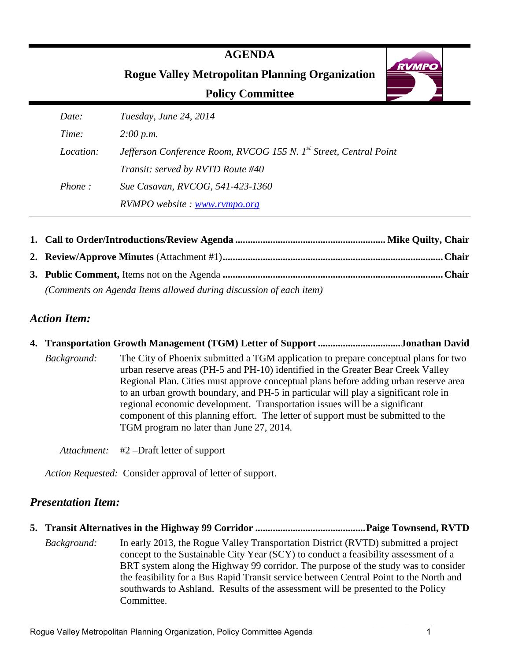## **AGENDA**

**Rogue Valley Metropolitan Planning Organization**

## **Policy Committee**



| (Comments on Agenda Items allowed during discussion of each item) |  |
|-------------------------------------------------------------------|--|

## *Action Item:*

**4. Transportation Growth Management (TGM) Letter of Support ................................. Jonathan David**  *Background:* The City of Phoenix submitted a TGM application to prepare conceptual plans for two urban reserve areas (PH-5 and PH-10) identified in the Greater Bear Creek Valley Regional Plan. Cities must approve conceptual plans before adding urban reserve area to an urban growth boundary, and PH-5 in particular will play a significant role in regional economic development. Transportation issues will be a significant component of this planning effort. The letter of support must be submitted to the TGM program no later than June 27, 2014.

*Attachment:* #2 –Draft letter of support

*Action Requested:* Consider approval of letter of support.

## *Presentation Item:*

- **5. Transit Alternatives in the Highway 99 Corridor ............................................ Paige Townsend, RVTD** 
	- *Background:* In early 2013, the Rogue Valley Transportation District (RVTD) submitted a project concept to the Sustainable City Year (SCY) to conduct a feasibility assessment of a BRT system along the Highway 99 corridor. The purpose of the study was to consider the feasibility for a Bus Rapid Transit service between Central Point to the North and southwards to Ashland. Results of the assessment will be presented to the Policy Committee.

**RVMPO**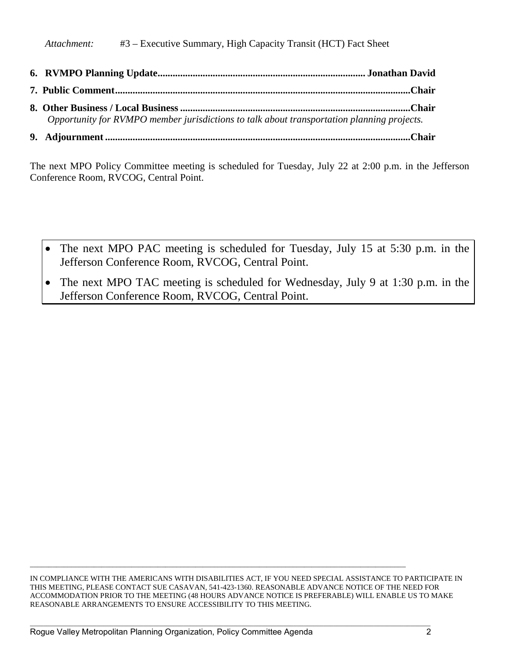**6. RVMPO Planning Update ................................................................................... Jonathan David 7. Public Comment ......................................................................................................................Chair 8. Other Business / Local Business ............................................................................................Chair** *Opportunity for RVMPO member jurisdictions to talk about transportation planning projects.*  **9. Adjournment ..........................................................................................................................Chair**

The next MPO Policy Committee meeting is scheduled for Tuesday, July 22 at 2:00 p.m. in the Jefferson Conference Room, RVCOG, Central Point.

- The next MPO PAC meeting is scheduled for Tuesday, July 15 at 5:30 p.m. in the Jefferson Conference Room, RVCOG, Central Point.
- The next MPO TAC meeting is scheduled for Wednesday, July 9 at 1:30 p.m. in the Jefferson Conference Room, RVCOG, Central Point.

IN COMPLIANCE WITH THE AMERICANS WITH DISABILITIES ACT, IF YOU NEED SPECIAL ASSISTANCE TO PARTICIPATE IN THIS MEETING, PLEASE CONTACT SUE CASAVAN, 541-423-1360. REASONABLE ADVANCE NOTICE OF THE NEED FOR ACCOMMODATION PRIOR TO THE MEETING (48 HOURS ADVANCE NOTICE IS PREFERABLE) WILL ENABLE US TO MAKE REASONABLE ARRANGEMENTS TO ENSURE ACCESSIBILITY TO THIS MEETING.

\_\_\_\_\_\_\_\_\_\_\_\_\_\_\_\_\_\_\_\_\_\_\_\_\_\_\_\_\_\_\_\_\_\_\_\_\_\_\_\_\_\_\_\_\_\_\_\_\_\_\_\_\_\_\_\_\_\_\_\_\_\_\_\_\_\_\_\_\_\_\_\_\_\_\_\_\_\_\_\_\_\_\_\_\_\_\_\_\_\_\_\_\_\_\_\_\_\_\_\_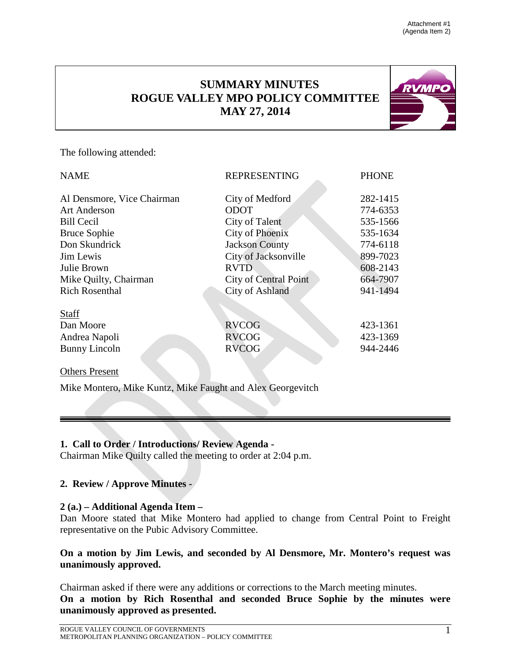**RVMPO** 

## **SUMMARY MINUTES ROGUE VALLEY MPO POLICY COMMITTEE MAY 27, 2014**



| <b>NAME</b>                | <b>REPRESENTING</b>          | <b>PHONE</b> |
|----------------------------|------------------------------|--------------|
| Al Densmore, Vice Chairman | City of Medford              | 282-1415     |
| <b>Art Anderson</b>        | <b>ODOT</b>                  | 774-6353     |
| <b>Bill Cecil</b>          | City of Talent               | 535-1566     |
| <b>Bruce Sophie</b>        | City of Phoenix              | 535-1634     |
| Don Skundrick              | <b>Jackson County</b>        | 774-6118     |
| Jim Lewis                  | City of Jacksonville         | 899-7023     |
| Julie Brown                | <b>RVTD</b>                  | 608-2143     |
| Mike Quilty, Chairman      | <b>City of Central Point</b> | 664-7907     |
| <b>Rich Rosenthal</b>      | <b>City of Ashland</b>       | 941-1494     |
| <b>Staff</b>               |                              |              |
| Dan Moore                  | <b>RVCOG</b>                 | 423-1361     |
| Andrea Napoli              | <b>RVCOG</b>                 | 423-1369     |
| <b>Bunny Lincoln</b>       | <b>RVCOG</b>                 | 944-2446     |
| <b>Others Present</b>      |                              |              |

Mike Montero, Mike Kuntz, Mike Faught and Alex Georgevitch

#### **1. Call to Order / Introductions/ Review Agenda -**

Chairman Mike Quilty called the meeting to order at 2:04 p.m.

## **2. Review / Approve Minutes -**

#### **2 (a.) – Additional Agenda Item –**

Dan Moore stated that Mike Montero had applied to change from Central Point to Freight representative on the Pubic Advisory Committee.

#### **On a motion by Jim Lewis, and seconded by Al Densmore, Mr. Montero's request was unanimously approved.**

Chairman asked if there were any additions or corrections to the March meeting minutes. **On a motion by Rich Rosenthal and seconded Bruce Sophie by the minutes were unanimously approved as presented.**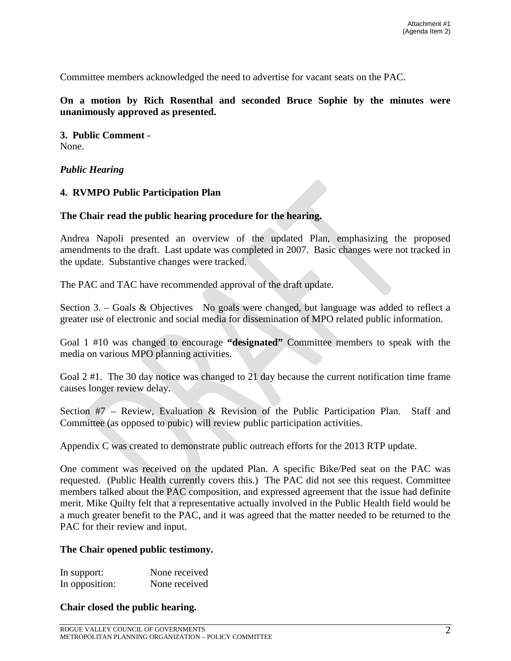Committee members acknowledged the need to advertise for vacant seats on the PAC.

#### **On a motion by Rich Rosenthal and seconded Bruce Sophie by the minutes were unanimously approved as presented.**

**3. Public Comment -** None.

#### *Public Hearing*

#### **4. RVMPO Public Participation Plan**

#### **The Chair read the public hearing procedure for the hearing.**

Andrea Napoli presented an overview of the updated Plan, emphasizing the proposed amendments to the draft. Last update was completed in 2007. Basic changes were not tracked in the update. Substantive changes were tracked.

The PAC and TAC have recommended approval of the draft update.

Section 3. – Goals & Objectives No goals were changed, but language was added to reflect a greater use of electronic and social media for dissemination of MPO related public information.

Goal 1 #10 was changed to encourage **"designated"** Committee members to speak with the media on various MPO planning activities.

Goal 2 #1. The 30 day notice was changed to 21 day because the current notification time frame causes longer review delay.

Section #7 – Review, Evaluation & Revision of the Public Participation Plan. Staff and Committee (as opposed to pubic) will review public participation activities.

Appendix C was created to demonstrate public outreach efforts for the 2013 RTP update.

One comment was received on the updated Plan. A specific Bike/Ped seat on the PAC was requested. (Public Health currently covers this.) The PAC did not see this request. Committee members talked about the PAC composition, and expressed agreement that the issue had definite merit. Mike Quilty felt that a representative actually involved in the Public Health field would be a much greater benefit to the PAC, and it was agreed that the matter needed to be returned to the PAC for their review and input.

#### **The Chair opened public testimony.**

| In support:    | None received |
|----------------|---------------|
| In opposition: | None received |

#### **Chair closed the public hearing.**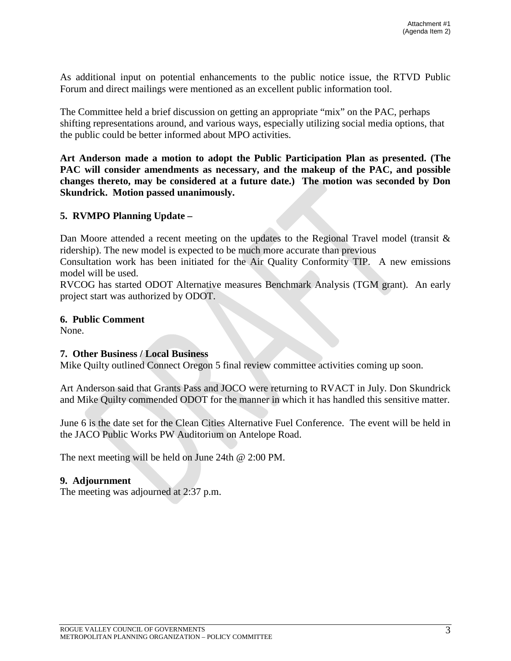As additional input on potential enhancements to the public notice issue, the RTVD Public Forum and direct mailings were mentioned as an excellent public information tool.

The Committee held a brief discussion on getting an appropriate "mix" on the PAC, perhaps shifting representations around, and various ways, especially utilizing social media options, that the public could be better informed about MPO activities.

**Art Anderson made a motion to adopt the Public Participation Plan as presented. (The PAC will consider amendments as necessary, and the makeup of the PAC, and possible changes thereto, may be considered at a future date.) The motion was seconded by Don Skundrick. Motion passed unanimously.**

#### **5. RVMPO Planning Update –**

Dan Moore attended a recent meeting on the updates to the Regional Travel model (transit & ridership). The new model is expected to be much more accurate than previous

Consultation work has been initiated for the Air Quality Conformity TIP. A new emissions model will be used.

RVCOG has started ODOT Alternative measures Benchmark Analysis (TGM grant). An early project start was authorized by ODOT.

#### **6. Public Comment**

None.

#### **7. Other Business / Local Business**

Mike Quilty outlined Connect Oregon 5 final review committee activities coming up soon.

Art Anderson said that Grants Pass and JOCO were returning to RVACT in July. Don Skundrick and Mike Quilty commended ODOT for the manner in which it has handled this sensitive matter.

June 6 is the date set for the Clean Cities Alternative Fuel Conference. The event will be held in the JACO Public Works PW Auditorium on Antelope Road.

The next meeting will be held on June 24th @ 2:00 PM.

#### **9. Adjournment**

The meeting was adjourned at 2:37 p.m.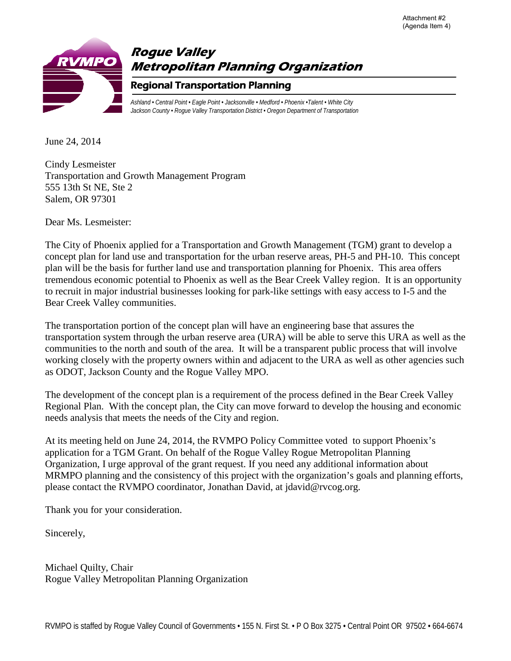

June 24, 2014

Cindy Lesmeister Transportation and Growth Management Program 555 13th St NE, Ste 2 Salem, OR 97301

Dear Ms. Lesmeister:

The City of Phoenix applied for a Transportation and Growth Management (TGM) grant to develop a concept plan for land use and transportation for the urban reserve areas, PH-5 and PH-10. This concept plan will be the basis for further land use and transportation planning for Phoenix. This area offers tremendous economic potential to Phoenix as well as the Bear Creek Valley region. It is an opportunity to recruit in major industrial businesses looking for park-like settings with easy access to I-5 and the Bear Creek Valley communities.

The transportation portion of the concept plan will have an engineering base that assures the transportation system through the urban reserve area (URA) will be able to serve this URA as well as the communities to the north and south of the area. It will be a transparent public process that will involve working closely with the property owners within and adjacent to the URA as well as other agencies such as ODOT, Jackson County and the Rogue Valley MPO.

The development of the concept plan is a requirement of the process defined in the Bear Creek Valley Regional Plan. With the concept plan, the City can move forward to develop the housing and economic needs analysis that meets the needs of the City and region.

At its meeting held on June 24, 2014, the RVMPO Policy Committee voted to support Phoenix's application for a TGM Grant. On behalf of the Rogue Valley Rogue Metropolitan Planning Organization, I urge approval of the grant request. If you need any additional information about MRMPO planning and the consistency of this project with the organization's goals and planning efforts, please contact the RVMPO coordinator, Jonathan David, at jdavid@rvcog.org.

Thank you for your consideration.

Sincerely,

Michael Quilty, Chair Rogue Valley Metropolitan Planning Organization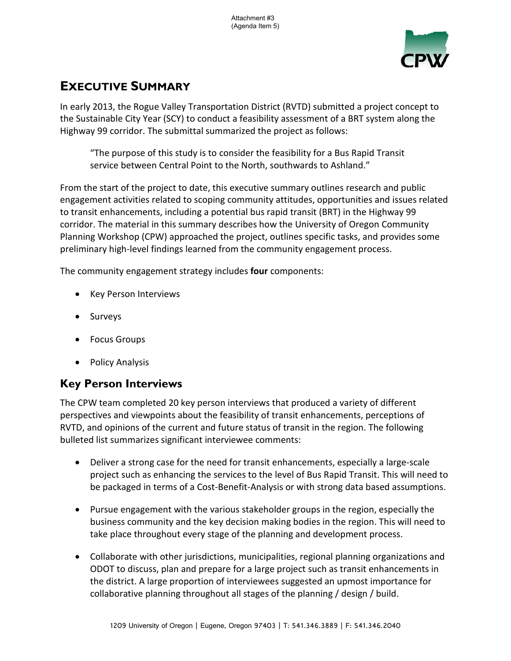Attachment #3 (Agenda Item 5)



# **EXECUTIVE SUMMARY**

In early 2013, the Rogue Valley Transportation District (RVTD) submitted a project concept to the Sustainable City Year (SCY) to conduct a feasibility assessment of a BRT system along the Highway 99 corridor. The submittal summarized the project as follows:

"The purpose of this study is to consider the feasibility for a Bus Rapid Transit service between Central Point to the North, southwards to Ashland."

From the start of the project to date, this executive summary outlines research and public engagement activities related to scoping community attitudes, opportunities and issues related to transit enhancements, including a potential bus rapid transit (BRT) in the Highway 99 corridor. The material in this summary describes how the University of Oregon Community Planning Workshop (CPW) approached the project, outlines specific tasks, and provides some preliminary high-level findings learned from the community engagement process.

The community engagement strategy includes **four** components:

- Key Person Interviews
- Surveys
- Focus Groups
- Policy Analysis

## **Key Person Interviews**

The CPW team completed 20 key person interviews that produced a variety of different perspectives and viewpoints about the feasibility of transit enhancements, perceptions of RVTD, and opinions of the current and future status of transit in the region. The following bulleted list summarizes significant interviewee comments:

- Deliver a strong case for the need for transit enhancements, especially a large-scale project such as enhancing the services to the level of Bus Rapid Transit. This will need to be packaged in terms of a Cost-Benefit-Analysis or with strong data based assumptions.
- Pursue engagement with the various stakeholder groups in the region, especially the business community and the key decision making bodies in the region. This will need to take place throughout every stage of the planning and development process.
- Collaborate with other jurisdictions, municipalities, regional planning organizations and ODOT to discuss, plan and prepare for a large project such as transit enhancements in the district. A large proportion of interviewees suggested an upmost importance for collaborative planning throughout all stages of the planning / design / build.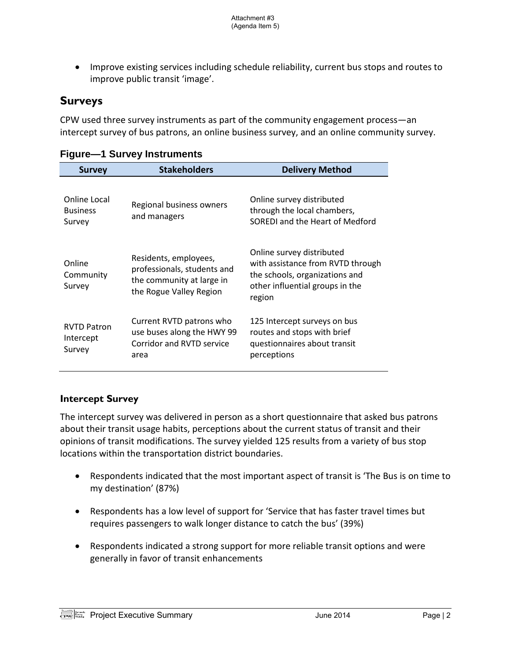• Improve existing services including schedule reliability, current bus stops and routes to improve public transit 'image'.

## **Surveys**

CPW used three survey instruments as part of the community engagement process—an intercept survey of bus patrons, an online business survey, and an online community survey.

| <b>Survey</b>                             | <b>Stakeholders</b>                                                                                          | <b>Delivery Method</b>                                                                                                                        |
|-------------------------------------------|--------------------------------------------------------------------------------------------------------------|-----------------------------------------------------------------------------------------------------------------------------------------------|
| Online Local<br><b>Business</b><br>Survey | Regional business owners<br>and managers                                                                     | Online survey distributed<br>through the local chambers,<br>SOREDI and the Heart of Medford                                                   |
| Online<br>Community<br>Survey             | Residents, employees,<br>professionals, students and<br>the community at large in<br>the Rogue Valley Region | Online survey distributed<br>with assistance from RVTD through<br>the schools, organizations and<br>other influential groups in the<br>region |
| <b>RVTD Patron</b><br>Intercept<br>Survey | Current RVTD patrons who<br>use buses along the HWY 99<br>Corridor and RVTD service<br>area                  | 125 Intercept surveys on bus<br>routes and stops with brief<br>questionnaires about transit<br>perceptions                                    |

## **Figure—1 Survey Instruments**

## **Intercept Survey**

The intercept survey was delivered in person as a short questionnaire that asked bus patrons about their transit usage habits, perceptions about the current status of transit and their opinions of transit modifications. The survey yielded 125 results from a variety of bus stop locations within the transportation district boundaries.

- Respondents indicated that the most important aspect of transit is 'The Bus is on time to my destination' (87%)
- Respondents has a low level of support for 'Service that has faster travel times but requires passengers to walk longer distance to catch the bus' (39%)
- Respondents indicated a strong support for more reliable transit options and were generally in favor of transit enhancements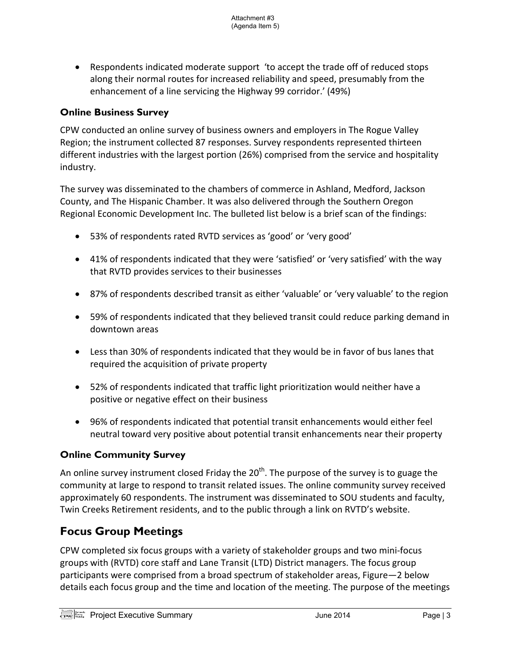• Respondents indicated moderate support 'to accept the trade off of reduced stops along their normal routes for increased reliability and speed, presumably from the enhancement of a line servicing the Highway 99 corridor.' (49%)

#### **Online Business Survey**

CPW conducted an online survey of business owners and employers in The Rogue Valley Region; the instrument collected 87 responses. Survey respondents represented thirteen different industries with the largest portion (26%) comprised from the service and hospitality industry.

The survey was disseminated to the chambers of commerce in Ashland, Medford, Jackson County, and The Hispanic Chamber. It was also delivered through the Southern Oregon Regional Economic Development Inc. The bulleted list below is a brief scan of the findings:

- 53% of respondents rated RVTD services as 'good' or 'very good'
- 41% of respondents indicated that they were 'satisfied' or 'very satisfied' with the way that RVTD provides services to their businesses
- 87% of respondents described transit as either 'valuable' or 'very valuable' to the region
- 59% of respondents indicated that they believed transit could reduce parking demand in downtown areas
- Less than 30% of respondents indicated that they would be in favor of bus lanes that required the acquisition of private property
- 52% of respondents indicated that traffic light prioritization would neither have a positive or negative effect on their business
- 96% of respondents indicated that potential transit enhancements would either feel neutral toward very positive about potential transit enhancements near their property

## **Online Community Survey**

An online survey instrument closed Friday the  $20<sup>th</sup>$ . The purpose of the survey is to guage the community at large to respond to transit related issues. The online community survey received approximately 60 respondents. The instrument was disseminated to SOU students and faculty, Twin Creeks Retirement residents, and to the public through a link on RVTD's website.

## **Focus Group Meetings**

CPW completed six focus groups with a variety of stakeholder groups and two mini-focus groups with (RVTD) core staff and Lane Transit (LTD) District managers. The focus group participants were comprised from a broad spectrum of stakeholder areas, Figure—2 below details each focus group and the time and location of the meeting. The purpose of the meetings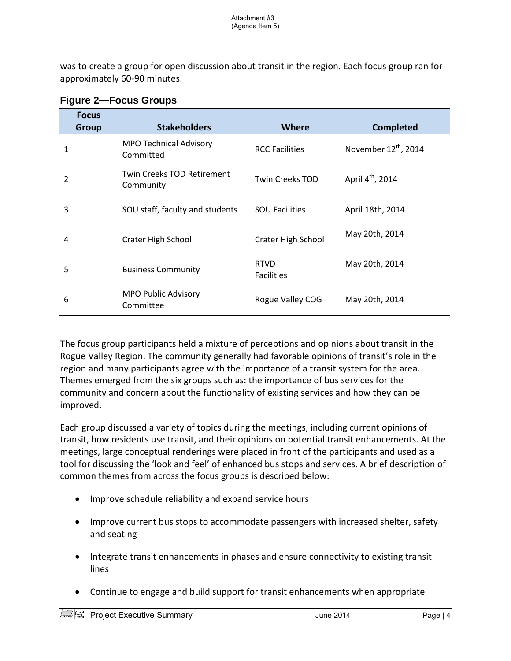was to create a group for open discussion about transit in the region. Each focus group ran for approximately 60-90 minutes.

| <b>Focus</b><br><b>Group</b> | <b>Stakeholders</b>                            | Where                            | <b>Completed</b>                 |
|------------------------------|------------------------------------------------|----------------------------------|----------------------------------|
| 1                            | <b>MPO Technical Advisory</b><br>Committed     | <b>RCC Facilities</b>            | November 12 <sup>th</sup> , 2014 |
| 2                            | <b>Twin Creeks TOD Retirement</b><br>Community | <b>Twin Creeks TOD</b>           | April 4 <sup>th</sup> , 2014     |
| 3                            | SOU staff, faculty and students                | <b>SOU Facilities</b>            | April 18th, 2014                 |
| 4                            | Crater High School                             | <b>Crater High School</b>        | May 20th, 2014                   |
| 5                            | <b>Business Community</b>                      | <b>RTVD</b><br><b>Facilities</b> | May 20th, 2014                   |
| 6                            | <b>MPO Public Advisory</b><br>Committee        | Rogue Valley COG                 | May 20th, 2014                   |

#### **Figure 2—Focus Groups**

The focus group participants held a mixture of perceptions and opinions about transit in the Rogue Valley Region. The community generally had favorable opinions of transit's role in the region and many participants agree with the importance of a transit system for the area. Themes emerged from the six groups such as: the importance of bus services for the community and concern about the functionality of existing services and how they can be improved.

Each group discussed a variety of topics during the meetings, including current opinions of transit, how residents use transit, and their opinions on potential transit enhancements. At the meetings, large conceptual renderings were placed in front of the participants and used as a tool for discussing the 'look and feel' of enhanced bus stops and services. A brief description of common themes from across the focus groups is described below:

- Improve schedule reliability and expand service hours
- Improve current bus stops to accommodate passengers with increased shelter, safety and seating
- Integrate transit enhancements in phases and ensure connectivity to existing transit lines
- Continue to engage and build support for transit enhancements when appropriate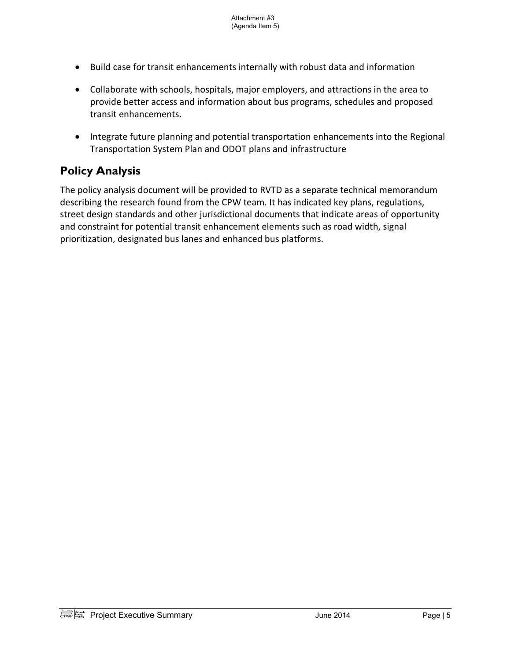- Build case for transit enhancements internally with robust data and information
- Collaborate with schools, hospitals, major employers, and attractions in the area to provide better access and information about bus programs, schedules and proposed transit enhancements.
- Integrate future planning and potential transportation enhancements into the Regional Transportation System Plan and ODOT plans and infrastructure

## **Policy Analysis**

The policy analysis document will be provided to RVTD as a separate technical memorandum describing the research found from the CPW team. It has indicated key plans, regulations, street design standards and other jurisdictional documents that indicate areas of opportunity and constraint for potential transit enhancement elements such as road width, signal prioritization, designated bus lanes and enhanced bus platforms.